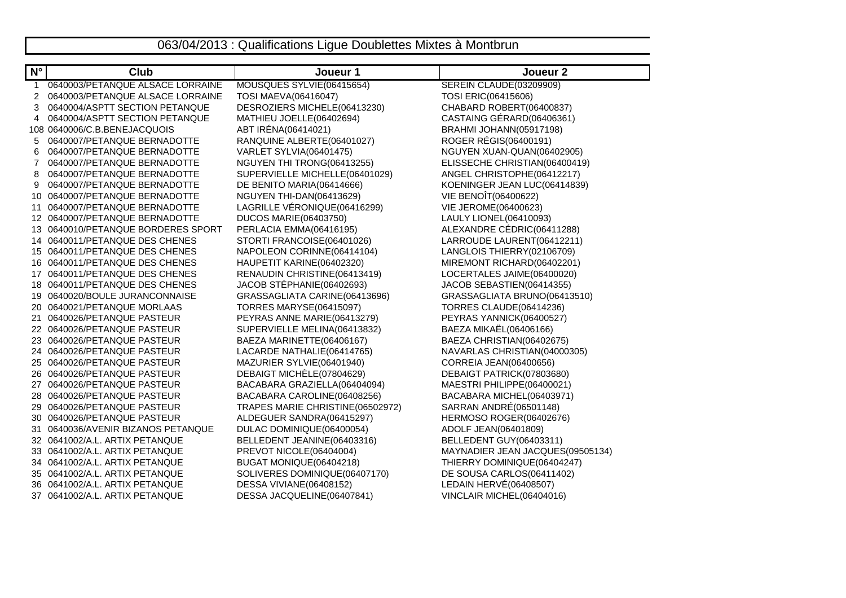## 063/04/2013 : Qualifications Ligue Doublettes Mixtes à Montbrun

| $N^{\circ}$     | <b>Club</b>                      | Joueur 1                         | Joueur <sub>2</sub>              |
|-----------------|----------------------------------|----------------------------------|----------------------------------|
| $\mathbf{1}$    | 0640003/PETANQUE ALSACE LORRAINE | MOUSQUES SYLVIE(06415654)        | SEREIN CLAUDE(03209909)          |
| 2               | 0640003/PETANQUE ALSACE LORRAINE | TOSI MAEVA(06416047)             | TOSI ERIC(06415606)              |
| 3               | 0640004/ASPTT SECTION PETANQUE   | DESROZIERS MICHELE(06413230)     | CHABARD ROBERT(06400837)         |
| 4               | 0640004/ASPTT SECTION PETANQUE   | MATHIEU JOELLE(06402694)         | CASTAING GÉRARD(06406361)        |
|                 | 108 0640006/C.B.BENEJACQUOIS     | ABT IRÉNA(06414021)              | BRAHMI JOHANN(05917198)          |
| 5               | 0640007/PETANQUE BERNADOTTE      | RANQUINE ALBERTE(06401027)       | ROGER RÉGIS(06400191)            |
| 6               | 0640007/PETANQUE BERNADOTTE      | VARLET SYLVIA(06401475)          | NGUYEN XUAN-QUAN(06402905)       |
| 7               | 0640007/PETANQUE BERNADOTTE      | NGUYEN THI TRONG(06413255)       | ELISSECHE CHRISTIAN(06400419)    |
| 8               | 0640007/PETANQUE BERNADOTTE      | SUPERVIELLE MICHELLE(06401029)   | ANGEL CHRISTOPHE(06412217)       |
| 9               | 0640007/PETANQUE BERNADOTTE      | DE BENITO MARIA(06414666)        | KOENINGER JEAN LUC(06414839)     |
| 10              | 0640007/PETANQUE BERNADOTTE      | NGUYEN THI-DAN(06413629)         | VIE BENOÎT(06400622)             |
| 11              | 0640007/PETANQUE BERNADOTTE      | LAGRILLE VÉRONIQUE(06416299)     | VIE JEROME(06400623)             |
|                 | 12 0640007/PETANQUE BERNADOTTE   | <b>DUCOS MARIE(06403750)</b>     | LAULY LIONEL(06410093)           |
| 13              | 0640010/PETANQUE BORDERES SPORT  | PERLACIA EMMA(06416195)          | ALEXANDRE CÉDRIC(06411288)       |
|                 | 14 0640011/PETANQUE DES CHENES   | STORTI FRANCOISE(06401026)       | LARROUDE LAURENT(06412211)       |
|                 | 15 0640011/PETANQUE DES CHENES   | NAPOLEON CORINNE(06414104)       | LANGLOIS THIERRY(02106709)       |
|                 | 16 0640011/PETANQUE DES CHENES   | HAUPETIT KARINE(06402320)        | MIREMONT RICHARD(06402201)       |
| 17 <sup>2</sup> | 0640011/PETANQUE DES CHENES      | RENAUDIN CHRISTINE(06413419)     | LOCERTALES JAIME(06400020)       |
|                 | 18 0640011/PETANQUE DES CHENES   | JACOB STÉPHANIE(06402693)        | JACOB SEBASTIEN(06414355)        |
|                 | 19 0640020/BOULE JURANCONNAISE   | GRASSAGLIATA CARINE(06413696)    | GRASSAGLIATA BRUNO(06413510)     |
| 20              | 0640021/PETANQUE MORLAAS         | <b>TORRES MARYSE(06415097)</b>   | TORRES CLAUDE(06414236)          |
| 21              | 0640026/PETANQUE PASTEUR         | PEYRAS ANNE MARIE(06413279)      | PEYRAS YANNICK(06400527)         |
|                 | 22 0640026/PETANQUE PASTEUR      | SUPERVIELLE MELINA(06413832)     | BAEZA MIKAËL(06406166)           |
| 23              | 0640026/PETANQUE PASTEUR         | BAEZA MARINETTE(06406167)        | BAEZA CHRISTIAN(06402675)        |
|                 | 24 0640026/PETANQUE PASTEUR      | LACARDE NATHALIE(06414765)       | NAVARLAS CHRISTIAN(04000305)     |
|                 | 25 0640026/PETANQUE PASTEUR      | MAZURIER SYLVIE(06401940)        | CORREIA JEAN(06400656)           |
|                 | 26 0640026/PETANQUE PASTEUR      | DEBAIGT MICHELE(07804629)        | DEBAIGT PATRICK(07803680)        |
| 27              | 0640026/PETANQUE PASTEUR         | BACABARA GRAZIELLA(06404094)     | MAESTRI PHILIPPE(06400021)       |
|                 | 28 0640026/PETANQUE PASTEUR      | BACABARA CAROLINE(06408256)      | BACABARA MICHEL(06403971)        |
|                 | 29 0640026/PETANQUE PASTEUR      | TRAPES MARIE CHRISTINE(06502972) | SARRAN ANDRÉ(06501148)           |
|                 | 30 0640026/PETANQUE PASTEUR      | ALDEGUER SANDRA(06415297)        | HERMOSO ROGER(06402676)          |
| 31              | 0640036/AVENIR BIZANOS PETANQUE  | DULAC DOMINIQUE(06400054)        | ADOLF JEAN(06401809)             |
|                 | 32 0641002/A.L. ARTIX PETANQUE   | BELLEDENT JEANINE(06403316)      | BELLEDENT GUY(06403311)          |
|                 | 33 0641002/A.L. ARTIX PETANQUE   | PREVOT NICOLE(06404004)          | MAYNADIER JEAN JACQUES(09505134) |
|                 | 34 0641002/A.L. ARTIX PETANQUE   | BUGAT MONIQUE(06404218)          | THIERRY DOMINIQUE(06404247)      |
|                 | 35 0641002/A.L. ARTIX PETANQUE   | SOLIVERES DOMINIQUE(06407170)    | DE SOUSA CARLOS(06411402)        |
|                 | 36 0641002/A.L. ARTIX PETANQUE   | DESSA VIVIANE(06408152)          | LEDAIN HERVÉ(06408507)           |
|                 | 37 0641002/A.L. ARTIX PETANQUE   | DESSA JACQUELINE(06407841)       | VINCLAIR MICHEL(06404016)        |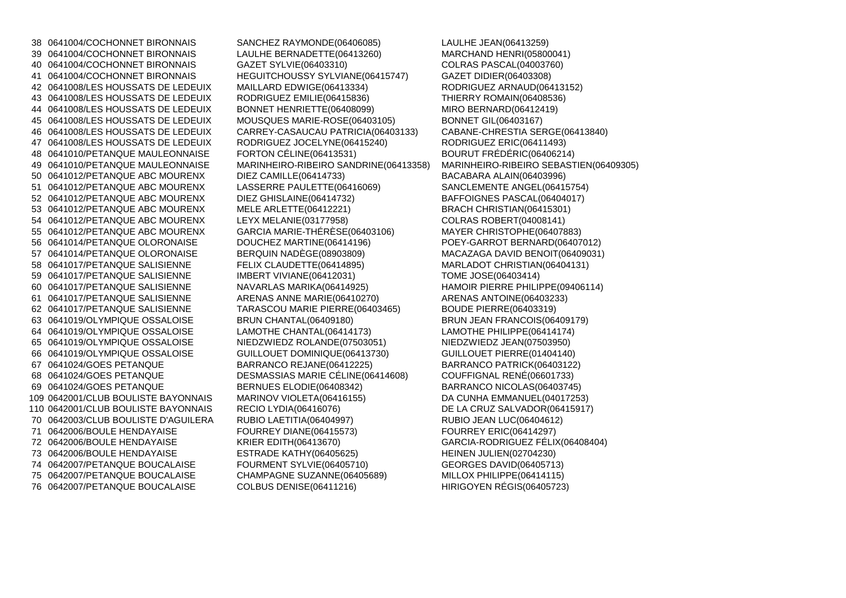38 0641004/COCHONNET BIRONNAIS SANCHEZ RAYMONDE(06406085) LAULHE JEAN(06413259)39 0641004/COCHONNET BIRONNAIS LAULHE BERNADETTE(06413260) 40 0641004/COCHONNET BIRONNAIS GAZET SYLVIE(06403310)41 0641004/COCHONNET BIRONNAIS HEGUITCHOUSSY SYLVIANE(06415747) 42 0641008/LES HOUSSATS DE LEDEUIX MAILLARD EDWIGE(06413334) 43 0641008/LES HOUSSATS DE LEDEUIX RODRIGUEZ EMILIE(06415836) THIERRY ROMAIN(06408536)<sup>44</sup> 0641008/LES HOUSSATS DE LEDEUIX BONNET HENRIETTE(06408099) MIRO BERNARD(06412419)45 0641008/LES HOUSSATS DE LEDEUIX MOUSQUES MARIE-ROSE(06403105) BONNET GIL(06403167)46 0641008/LES HOUSSATS DE LEDEUIX CARREY-CASAUCAU PATRICIA(06403133) CABANE-CHRESTIA SERGE(06413840)<sup>47</sup> 0641008/LES HOUSSATS DE LEDEUIX RODRIGUEZ JOCELYNE(06415240) RODRIGUEZ ERIC(06411493)48 0641010/PETANQUE MAULEONNAISE FORTON CÉLINE(06413531) 50 0641012/PETANQUE ABC MOURENX DIEZ CAMILLE(06414733) BACABARA ALAIN(06403996)<br>51 0641012/PETANQUE ABC MOURENX LASSERRE PAULETTE(06416069) SANCLEMENTE ANGEL(0641 51 0641012/PETANQUE ABC MOURENX 52 0641012/PETANQUE ABC MOURENX DIEZ GHISLAINE(06414732) 53 0641012/PETANQUE ABC MOURENX MELE ARLETTE(06412221) BRACH CHRISTIAN(06415301)54 0641012/PETANQUE ABC MOURENX LEYX MELANIE(03177958) COLRAS ROBERT(04008141)55 0641012/PETANQUE ABC MOURENX 56 0641014/PETANQUE OLORONAISE DOUCHEZ MARTINE(06414196) POEY-GARROT BERNARD(06407012)57 0641014/PETANQUE OLORONAISE BERQUIN NADÈGE(08903809) 58 0641017/PETANQUE SALISIENNE FELIX CLAUDETTE(06414895) MARLADOT CHRISTIAN(06404131)59 0641017/PETANQUE SALISIENNE IMBERT VIVIANE(06412031) TOME JOSE(06403414) 60 0641017/PETANQUE SALISIENNE NAVARLAS MARIKA(06414925) HAMOIR PIERRE PHILIPPE(09406114)61 0641017/PETANQUE SALISIENNE ARENAS ANNE MARIE(06410270) ARENAS ANTOINE(06403233)62 0641017/PETANQUE SALISIENNE TARASCOU MARIE PIERRE(06403465) BOUDE PIERRE(06403319)63 0641019/OLYMPIQUE OSSALOISE BRUN CHANTAL(06409180)64 0641019/OLYMPIQUE OSSALOISE LAMOTHE CHANTAL(06414173) LAMOTHE PHILIPPE(06414174)65 0641019/OLYMPIQUE OSSALOISE NIEDZWIEDZ ROLANDE(07503051) NIEDZWIEDZ JEAN(07503950)66 0641019/OLYMPIQUE OSSALOISE GUILLOUET DOMINIQUE(06413730)<br>67 0641024/GOES PETANOUE BARRANCO REJANE(06412225) 67 0641024/GOES PETANQUE BARRANCO REJANE(06412225) BARRANCO PATRICK(06403122)<sup>68</sup> 0641024/GOES PETANQUE DESMASSIAS MARIE CÉLINE(06414608) COUFFIGNAL RENÉ(06601733)69 0641024/GOES PETANQUE BERNUES ELODIE(06408342) 109 0642001/CLUB BOULISTE BAYONNAIS MARINOV VIOLETA(06416155) 110 0642001/CLUB BOULISTE BAYONNAIS RECIO LYDIA(06416076) 70 0642003/CLUB BOULISTE D'AGUILERA RUBIO LAETITIA(06404997) RUBIO JEAN LUC(06404612)<sup>71</sup> 0642006/BOULE HENDAYAISE FOURREY DIANE(06415573) FOURREY ERIC(06414297) <sup>72</sup> 0642006/BOULE HENDAYAISE KRIER EDITH(06413670) GARCIA-RODRIGUEZ FÉLIX(06408404)73 0642006/BOULE HENDAYAISE ESTRADE KATHY(06405625) HEINEN JULIEN(02704230)74 0642007/PETANQUE BOUCALAISE FOURMENT SYLVIE(06405710) 75 0642007/PETANQUE BOUCALAISE CHAMPAGNE SUZANNE(06405689)<br>76 0642007/PETANQUE BOUCALAISE COLBUS DENISE(06411216) 76 0642007/PETANQUE BOUCALAISE

MARCHAND HENRI(05800041) COLRAS PASCAL(04003760) RODRIGUEZ ARNAUD(06413152) CABANE-CHRESTIA SERGE(06413840) BOURUT FRÉDÉRIC(06406214) 49 0641010/PETANQUE MAULEONNAISE MARINHEIRO-RIBEIRO SANDRINE(06413358) MARINHEIRO-RIBEIRO SEBASTIEN(06409305)SANCLEMENTE ANGEL(06415754) BAFFOIGNES PASCAL(06404017) MAYER CHRISTOPHE(06407883) MACAZAGA DAVID BENOIT(06409031) BRUN JEAN FRANCOIS(06409179) GUILLOUET PIERRE(01404140) BARRANCO NICOLAS(06403745) DA CUNHA EMMANUEL(04017253) DE LA CRUZ SALVADOR(06415917) GEORGES DAVID(06405713) MILLOX PHILIPPE(06414115) HIRIGOYEN RÉGIS(06405723)